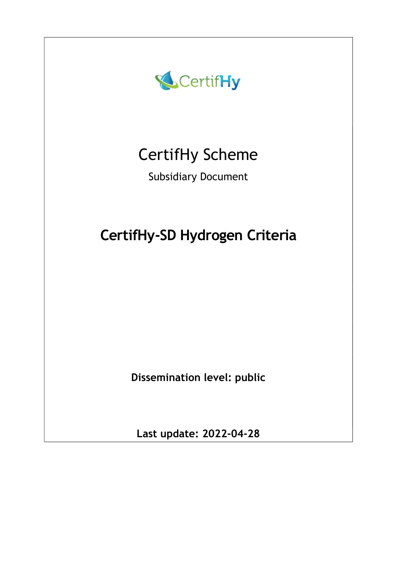

Last update: 2022-04-28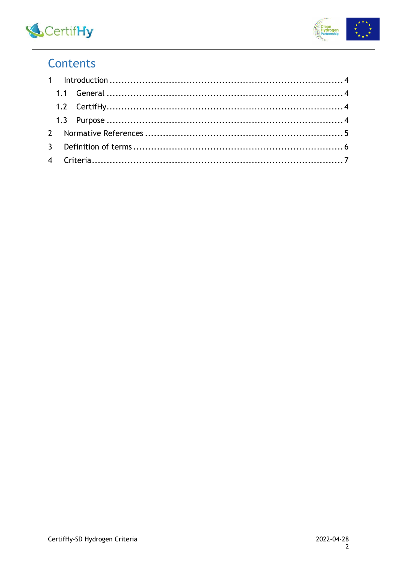



## Contents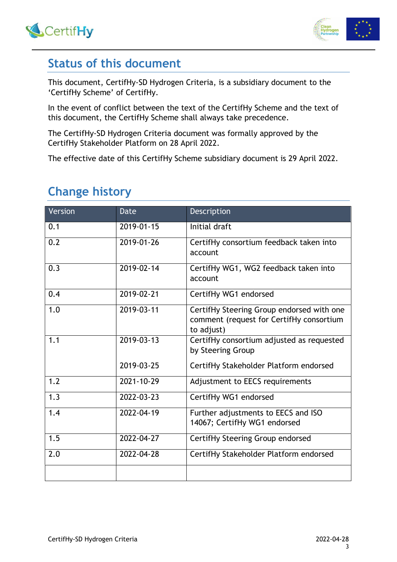



### Status of this document

This document, CertifHy-SD Hydrogen Criteria, is a subsidiary document to the 'CertifHy Scheme' of CertifHy.

In the event of conflict between the text of the CertifHy Scheme and the text of this document, the CertifHy Scheme shall always take precedence.

The CertifHy-SD Hydrogen Criteria document was formally approved by the CertifHy Stakeholder Platform on 28 April 2022.

The effective date of this CertifHy Scheme subsidiary document is 29 April 2022.

# Change history

| Version | Date       | Description                                                                                         |
|---------|------------|-----------------------------------------------------------------------------------------------------|
| 0.1     | 2019-01-15 | Initial draft                                                                                       |
| 0.2     | 2019-01-26 | CertifHy consortium feedback taken into<br>account                                                  |
| 0.3     | 2019-02-14 | CertifHy WG1, WG2 feedback taken into<br>account                                                    |
| 0.4     | 2019-02-21 | CertifHy WG1 endorsed                                                                               |
| 1.0     | 2019-03-11 | CertifHy Steering Group endorsed with one<br>comment (request for CertifHy consortium<br>to adjust) |
| 1.1     | 2019-03-13 | CertifHy consortium adjusted as requested<br>by Steering Group                                      |
|         | 2019-03-25 | CertifHy Stakeholder Platform endorsed                                                              |
| 1.2     | 2021-10-29 | Adjustment to EECS requirements                                                                     |
| 1.3     | 2022-03-23 | CertifHy WG1 endorsed                                                                               |
| 1.4     | 2022-04-19 | Further adjustments to EECS and ISO<br>14067; CertifHy WG1 endorsed                                 |
| 1.5     | 2022-04-27 | CertifHy Steering Group endorsed                                                                    |
| 2.0     | 2022-04-28 | CertifHy Stakeholder Platform endorsed                                                              |
|         |            |                                                                                                     |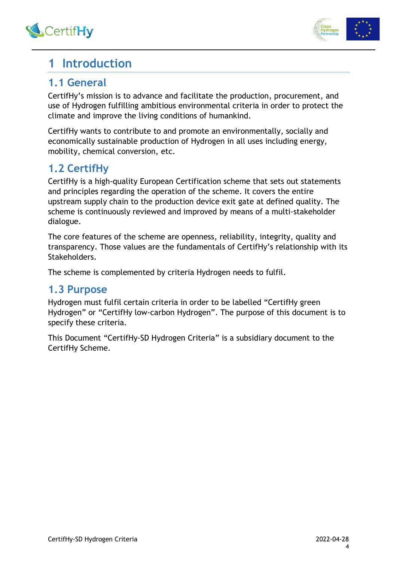



### 1 Introduction

### 1.1 General

CertifHy's mission is to advance and facilitate the production, procurement, and use of Hydrogen fulfilling ambitious environmental criteria in order to protect the climate and improve the living conditions of humankind.

CertifHy wants to contribute to and promote an environmentally, socially and economically sustainable production of Hydrogen in all uses including energy, mobility, chemical conversion, etc.

### 1.2 CertifHy

CertifHy is a high-quality European Certification scheme that sets out statements and principles regarding the operation of the scheme. It covers the entire upstream supply chain to the production device exit gate at defined quality. The scheme is continuously reviewed and improved by means of a multi-stakeholder dialogue.

The core features of the scheme are openness, reliability, integrity, quality and transparency. Those values are the fundamentals of CertifHy's relationship with its Stakeholders.

The scheme is complemented by criteria Hydrogen needs to fulfil.

### 1.3 Purpose

Hydrogen must fulfil certain criteria in order to be labelled "CertifHy green Hydrogen" or "CertifHy low-carbon Hydrogen". The purpose of this document is to specify these criteria.

This Document "CertifHy-SD Hydrogen Criteria" is a subsidiary document to the CertifHy Scheme.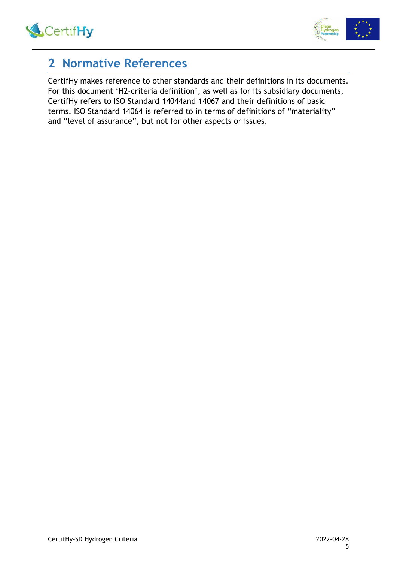



### 2 Normative References

CertifHy makes reference to other standards and their definitions in its documents. For this document 'H2-criteria definition', as well as for its subsidiary documents, CertifHy refers to ISO Standard 14044and 14067 and their definitions of basic terms. ISO Standard 14064 is referred to in terms of definitions of "materiality" and "level of assurance", but not for other aspects or issues.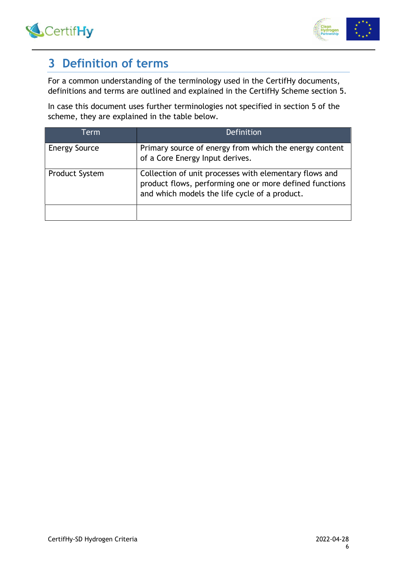



## 3 Definition of terms

For a common understanding of the terminology used in the CertifHy documents, definitions and terms are outlined and explained in the CertifHy Scheme section 5.

In case this document uses further terminologies not specified in section 5 of the scheme, they are explained in the table below.

| Term                  | Definition                                                                                                                                                         |
|-----------------------|--------------------------------------------------------------------------------------------------------------------------------------------------------------------|
| <b>Energy Source</b>  | Primary source of energy from which the energy content<br>of a Core Energy Input derives.                                                                          |
| <b>Product System</b> | Collection of unit processes with elementary flows and<br>product flows, performing one or more defined functions<br>and which models the life cycle of a product. |
|                       |                                                                                                                                                                    |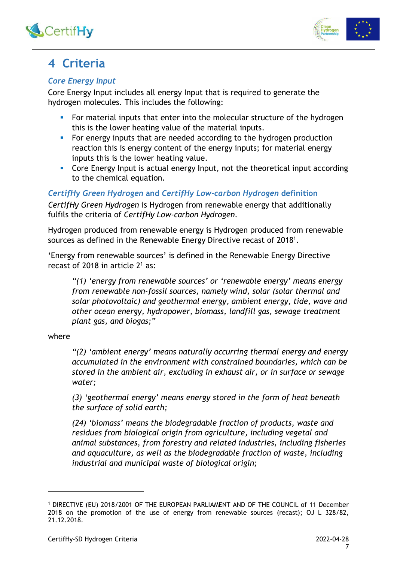



# 4 Criteria

#### Core Energy Input

Core Energy Input includes all energy Input that is required to generate the hydrogen molecules. This includes the following:

- For material inputs that enter into the molecular structure of the hydrogen this is the lower heating value of the material inputs.
- For energy inputs that are needed according to the hydrogen production reaction this is energy content of the energy inputs; for material energy inputs this is the lower heating value.
- **Core Energy Input is actual energy Input, not the theoretical input according** to the chemical equation.

CertifHy Green Hydrogen and CertifHy Low-carbon Hydrogen definition CertifHy Green Hydrogen is Hydrogen from renewable energy that additionally fulfils the criteria of CertifHy Low-carbon Hydrogen.

Hydrogen produced from renewable energy is Hydrogen produced from renewable sources as defined in the Renewable Energy Directive recast of 2018<sup>1</sup>.

'Energy from renewable sources' is defined in the Renewable Energy Directive recast of 2018 in article  $2^1$  as:

"(1) 'energy from renewable sources' or 'renewable energy' means energy from renewable non-fossil sources, namely wind, solar (solar thermal and solar photovoltaic) and geothermal energy, ambient energy, tide, wave and other ocean energy, hydropower, biomass, landfill gas, sewage treatment plant gas, and biogas;"

#### where

"(2) 'ambient energy' means naturally occurring thermal energy and energy accumulated in the environment with constrained boundaries, which can be stored in the ambient air, excluding in exhaust air, or in surface or sewage water;

(3) 'geothermal energy' means energy stored in the form of heat beneath the surface of solid earth;

(24) 'biomass' means the biodegradable fraction of products, waste and residues from biological origin from agriculture, including vegetal and animal substances, from forestry and related industries, including fisheries and aquaculture, as well as the biodegradable fraction of waste, including industrial and municipal waste of biological origin;

<sup>1</sup> DIRECTIVE (EU) 2018/2001 OF THE EUROPEAN PARLIAMENT AND OF THE COUNCIL of 11 December 2018 on the promotion of the use of energy from renewable sources (recast); OJ L 328/82, 21.12.2018.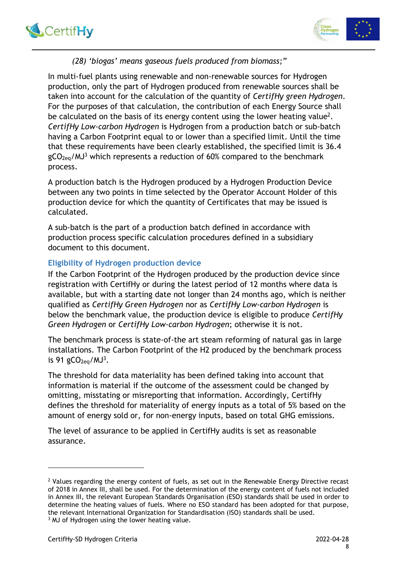



#### (28) 'biogas' means gaseous fuels produced from biomass;"

In multi-fuel plants using renewable and non-renewable sources for Hydrogen production, only the part of Hydrogen produced from renewable sources shall be taken into account for the calculation of the quantity of CertifHy green Hydrogen. For the purposes of that calculation, the contribution of each Energy Source shall be calculated on the basis of its energy content using the lower heating value<sup>2</sup>. CertifHy Low-carbon Hydrogen is Hydrogen from a production batch or sub-batch having a Carbon Footprint equal to or lower than a specified limit. Until the time that these requirements have been clearly established, the specified limit is 36.4  $gCO_{2eq}/MJ<sup>3</sup>$  which represents a reduction of 60% compared to the benchmark process.

A production batch is the Hydrogen produced by a Hydrogen Production Device between any two points in time selected by the Operator Account Holder of this production device for which the quantity of Certificates that may be issued is calculated.

A sub-batch is the part of a production batch defined in accordance with production process specific calculation procedures defined in a subsidiary document to this document.

#### Eligibility of Hydrogen production device

If the Carbon Footprint of the Hydrogen produced by the production device since registration with CertifHy or during the latest period of 12 months where data is available, but with a starting date not longer than 24 months ago, which is neither qualified as CertifHy Green Hydrogen nor as CertifHy Low-carbon Hydrogen is below the benchmark value, the production device is eligible to produce CertifHy Green Hydrogen or CertifHy Low-carbon Hydrogen; otherwise it is not.

The benchmark process is state-of-the art steam reforming of natural gas in large installations. The Carbon Footprint of the H2 produced by the benchmark process is 91  $gCO<sub>2eq</sub>/MJ<sup>3</sup>$ .

The threshold for data materiality has been defined taking into account that information is material if the outcome of the assessment could be changed by omitting, misstating or misreporting that information. Accordingly, CertifHy defines the threshold for materiality of energy inputs as a total of 5% based on the amount of energy sold or, for non-energy inputs, based on total GHG emissions.

The level of assurance to be applied in CertifHy audits is set as reasonable assurance.

<sup>&</sup>lt;sup>2</sup> Values regarding the energy content of fuels, as set out in the Renewable Energy Directive recast of 2018 in Annex III, shall be used. For the determination of the energy content of fuels not included in Annex III, the relevant European Standards Organisation (ESO) standards shall be used in order to determine the heating values of fuels. Where no ESO standard has been adopted for that purpose, the relevant International Organization for Standardisation (ISO) standards shall be used. <sup>3</sup> MJ of Hydrogen using the lower heating value.